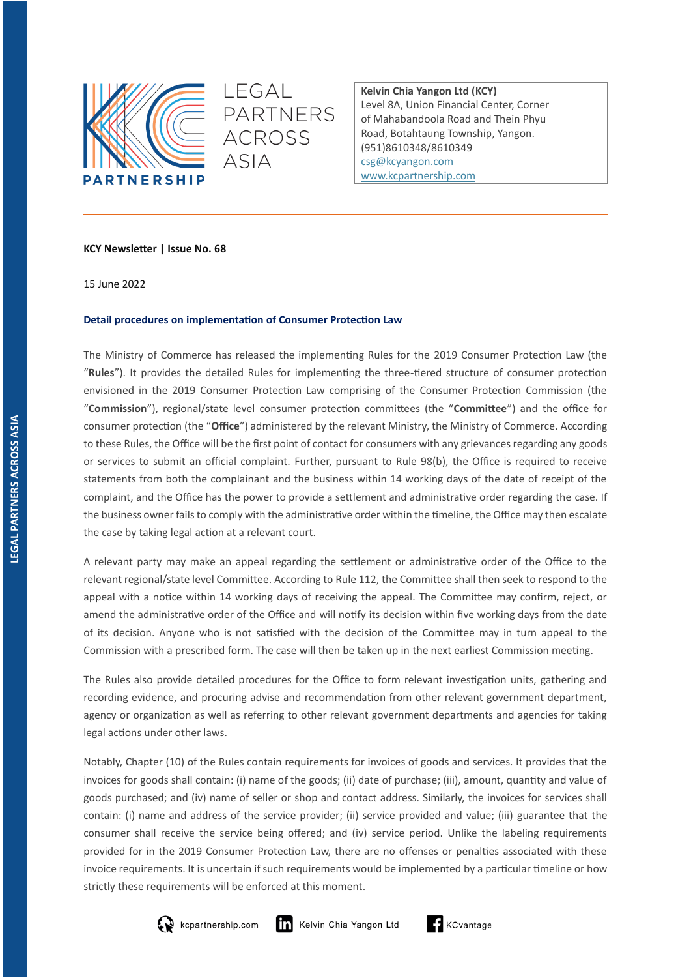

LEGAL **PARTNERS ACROSS ASIA** 

**Kelvin Chia Yangon Ltd (KCY)** Level 8A, Union Financial Center, Corner of Mahabandoola Road and Thein Phyu Road, Botahtaung Township, Yangon. (951)8610348/8610349 csg@kcyangon.com [www.kcpartnership.com](http://www.kcpartnership.com/)

### **KCY Newsletter | Issue No. 68**

15 June 2022

# **Detail procedures on implementation of Consumer Protection Law**

The Ministry of Commerce has released the implementing Rules for the 2019 Consumer Protection Law (the "**Rules**"). It provides the detailed Rules for implementing the three-tiered structure of consumer protection envisioned in the 2019 Consumer Protection Law comprising of the Consumer Protection Commission (the "**Commission**"), regional/state level consumer protection committees (the "**Committee**") and the office for consumer protection (the "**Office**") administered by the relevant Ministry, the Ministry of Commerce. According to these Rules, the Office will be the first point of contact for consumers with any grievances regarding any goods or services to submit an official complaint. Further, pursuant to Rule 98(b), the Office is required to receive statements from both the complainant and the business within 14 working days of the date of receipt of the complaint, and the Office has the power to provide a settlement and administrative order regarding the case. If the business owner fails to comply with the administrative order within the timeline, the Office may then escalate the case by taking legal action at a relevant court.

A relevant party may make an appeal regarding the settlement or administrative order of the Office to the relevant regional/state level Committee. According to Rule 112, the Committee shall then seek to respond to the appeal with a notice within 14 working days of receiving the appeal. The Committee may confirm, reject, or amend the administrative order of the Office and will notify its decision within five working days from the date of its decision. Anyone who is not satisfied with the decision of the Committee may in turn appeal to the Commission with a prescribed form. The case will then be taken up in the next earliest Commission meeting.

The Rules also provide detailed procedures for the Office to form relevant investigation units, gathering and recording evidence, and procuring advise and recommendation from other relevant government department, agency or organization as well as referring to other relevant government departments and agencies for taking legal actions under other laws.

Notably, Chapter (10) of the Rules contain requirements for invoices of goods and services. It provides that the invoices for goods shall contain: (i) name of the goods; (ii) date of purchase; (iii), amount, quantity and value of goods purchased; and (iv) name of seller or shop and contact address. Similarly, the invoices for services shall contain: (i) name and address of the service provider; (ii) service provided and value; (iii) guarantee that the consumer shall receive the service being offered; and (iv) service period. Unlike the labeling requirements provided for in the 2019 Consumer Protection Law, there are no offenses or penalties associated with these invoice requirements. It is uncertain if such requirements would be implemented by a particular timeline or how strictly these requirements will be enforced at this moment.



Kelvin Chia Yangon Ltd